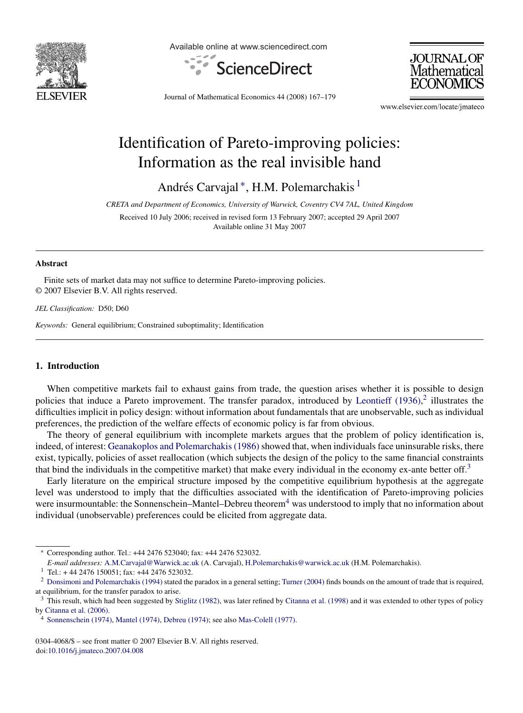

Available online at www.sciencedirect.com





Journal of Mathematical Economics 44 (2008) 167–179

www.elsevier.com/locate/jmateco

## Identification of Pareto-improving policies: Information as the real invisible hand

Andrés Carvajal\*, H.M. Polemarchakis<sup>1</sup>

*CRETA and Department of Economics, University of Warwick, Coventry CV4 7AL, United Kingdom*

Received 10 July 2006; received in revised form 13 February 2007; accepted 29 April 2007 Available online 31 May 2007

#### **Abstract**

Finite sets of market data may not suffice to determine Pareto-improving policies. © 2007 Elsevier B.V. All rights reserved.

*JEL Classification:* D50; D60

*Keywords:* General equilibrium; Constrained suboptimality; Identification

### **1. Introduction**

When competitive markets fail to exhaust gains from trade, the question arises whether it is possible to design policies that induce a Pareto improvement. The transfer paradox, introduced by [Leontieff \(1936\),](#page--1-0)<sup>2</sup> illustrates the difficulties implicit in policy design: without information about fundamentals that are unobservable, such as individual preferences, the prediction of the welfare effects of economic policy is far from obvious.

The theory of general equilibrium with incomplete markets argues that the problem of policy identification is, indeed, of interest: [Geanakoplos and Polemarchakis \(1986\)](#page--1-0) showed that, when individuals face uninsurable risks, there exist, typically, policies of asset reallocation (which subjects the design of the policy to the same financial constraints that bind the individuals in the competitive market) that make every individual in the economy ex-ante better off.<sup>3</sup>

Early literature on the empirical structure imposed by the competitive equilibrium hypothesis at the aggregate level was understood to imply that the difficulties associated with the identification of Pareto-improving policies were insurmountable: the Sonnenschein–Mantel–Debreu theorem<sup>4</sup> was understood to imply that no information about individual (unobservable) preferences could be elicited from aggregate data.

0304-4068/\$ – see front matter © 2007 Elsevier B.V. All rights reserved. doi:[10.1016/j.jmateco.2007.04.008](dx.doi.org/10.1016/j.jmateco.2007.04.008)

<sup>∗</sup> Corresponding author. Tel.: +44 2476 523040; fax: +44 2476 523032.

*E-mail addresses:* [A.M.Carvajal@Warwick.ac.uk](mailto:A.M.Carvajal@Warwick.ac.uk) (A. Carvajal), [H.Polemarchakis@warwick.ac.uk](mailto:H.Polemarchakis@warwick.ac.uk) (H.M. Polemarchakis).

 $1$  Tel.: + 44 2476 150051; fax: +44 2476 523032.

<sup>&</sup>lt;sup>2</sup> [Donsimoni and Polemarchakis \(1994\)](#page--1-0) stated the paradox in a general setting; [Turner \(2004\)](#page--1-0) finds bounds on the amount of trade that is required, at equilibrium, for the transfer paradox to arise.

<sup>&</sup>lt;sup>3</sup> This result, which had been suggested by [Stiglitz \(1982\), w](#page--1-0)as later refined by [Citanna et al. \(1998\)](#page--1-0) and it was extended to other types of policy by [Citanna et al. \(2006\).](#page--1-0)

<sup>4</sup> [Sonnenschein \(1974\),](#page--1-0) [Mantel \(1974\),](#page--1-0) [Debreu \(1974\); s](#page--1-0)ee also [Mas-Colell \(1977\).](#page--1-0)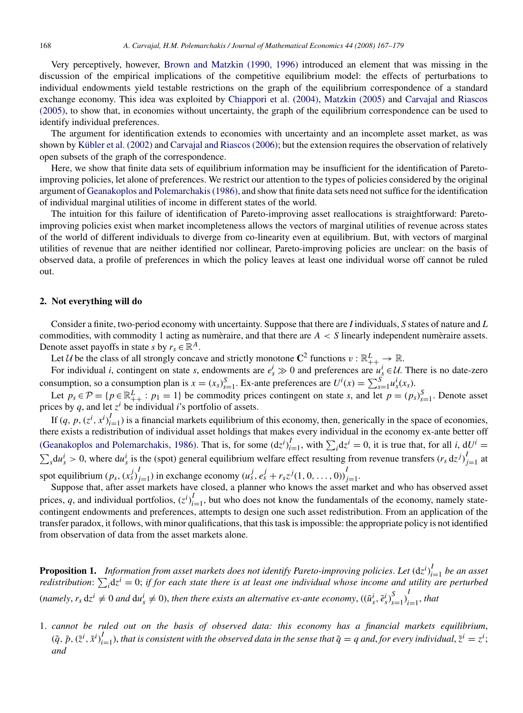Very perceptively, however, [Brown and Matzkin \(1990, 1996\)](#page--1-0) introduced an element that was missing in the discussion of the empirical implications of the competitive equilibrium model: the effects of perturbations to individual endowments yield testable restrictions on the graph of the equilibrium correspondence of a standard exchange economy. This idea was exploited by [Chiappori et al. \(2004\),](#page--1-0) [Matzkin \(2005\)](#page--1-0) and [Carvajal and Riascos](#page--1-0) [\(2005\),](#page--1-0) to show that, in economies without uncertainty, the graph of the equilibrium correspondence can be used to identify individual preferences.

The argument for identification extends to economies with uncertainty and an incomplete asset market, as was shown by Kübler et al. (2002) and [Carvajal and Riascos \(2006\); b](#page--1-0)ut the extension requires the observation of relatively open subsets of the graph of the correspondence.

Here, we show that finite data sets of equilibrium information may be insufficient for the identification of Paretoimproving policies, let alone of preferences. We restrict our attention to the types of policies considered by the original argument of [Geanakoplos and Polemarchakis \(1986\), a](#page--1-0)nd show that finite data sets need not suffice for the identification of individual marginal utilities of income in different states of the world.

The intuition for this failure of identification of Pareto-improving asset reallocations is straightforward: Paretoimproving policies exist when market incompleteness allows the vectors of marginal utilities of revenue across states of the world of different individuals to diverge from co-linearity even at equilibrium. But, with vectors of marginal utilities of revenue that are neither identified nor collinear, Pareto-improving policies are unclear: on the basis of observed data, a profile of preferences in which the policy leaves at least one individual worse off cannot be ruled out.

### **2. Not everything will do**

Consider a finite, two-period economy with uncertainty. Suppose that there are *I* individuals, *S* states of nature and *L* commodities, with commodity 1 acting as numeraire, and that there are  $A < S$  linearly independent numeraire assets. Denote asset payoffs in state *s* by  $r_s \in \mathbb{R}^A$ .

Let U be the class of all strongly concave and strictly monotone  $\mathbb{C}^2$  functions  $v : \mathbb{R}^L_+ \to \mathbb{R}$ .

For individual *i*, contingent on state *s*, endowments are  $e^i_s \gg 0$  and preferences are  $u^i_s \in U$ . There is no date-zero consumption, so a consumption plan is  $x = (x_s)_{s=1}^S$ . Ex-ante preferences are  $U^i(x) = \sum_{s=1}^S u^i_s(x_s)$ .

Let  $p_s \in \mathcal{P} = \{p \in \mathbb{R}_{++}^L : p_1 = 1\}$  be commodity prices contingent on state *s*, and let  $p = (p_s)_{s=1}^S$ . Denote asset prices by  $q$ , and let  $z^i$  be individual *i*'s portfolio of assets.

If  $(q, p, (z^i, x^i)_{i=1}^I)$  is a financial markets equilibrium of this economy, then, generically in the space of economies, there exists a redistribution of individual asset holdings that makes every individual in the economy ex-ante better off [\(Geanakoplos and Polemarchakis, 1986\).](#page--1-0) That is, for some  $(dz^i)_{i=1}^I$ , with  $\sum_i dz^i = 0$ , it is true that, for all *i*,  $dU^i =$  $\sum_s du_s^i > 0$ , where  $du_s^i$  is the (spot) general equilibrium welfare effect resulting from revenue transfers  $(r_s \, dz^j)_{j=1}^I$  at spot equilibrium  $(p_s, (x_s^j)_{j=1}^I)$  in exchange economy  $(u_s^j, e_s^j + r_s z^j(1, 0, \ldots, 0))_{j=1}^I$ .

Suppose that, after asset markets have closed, a planner who knows the asset market and who has observed asset prices, *q*, and individual portfolios,  $(z^i)_{i=1}^I$ , but who does not know the fundamentals of the economy, namely statecontingent endowments and preferences, attempts to design one such asset redistribution. From an application of the transfer paradox, it follows, with minor qualifications, that this task is impossible: the appropriate policy is not identified from observation of data from the asset markets alone.

**Proposition 1.** *Information from asset markets does not identify Pareto-improving policies*. *Let* (d*z<sup>i</sup>* ) *I <sup>i</sup>*=<sup>1</sup> *be an asset redistribution*:  $\sum_i dx^i = 0$ ; *if for each state there is at least one individual whose income and utility are perturbed* (namely,  $r_s dz^i \neq 0$  and  $du_s^i \neq 0$ ), then there exists an alternative ex-ante economy,  $((\tilde{u}_s^i, \tilde{e}_s^i)_{s=1}^S)_{i=1}^I$ , that

1. *cannot be ruled out on the basis of observed data: this economy has a financial markets equilibrium*,  $(\tilde{q}, \tilde{p}, (\tilde{z}^i, \tilde{x}^i)_{i=1}^I)$ , that is consistent with the observed data in the sense that  $\tilde{q} = q$  and, for every individual,  $\tilde{z}^i = z^i$ ; *and*